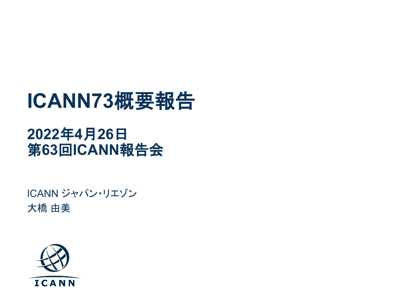# **ICANN73**概要報告

#### **2022**年**4**月**26**日 第**63**回**ICANN**報告会

ICANN ジャパン・リエゾン 大橋 由美

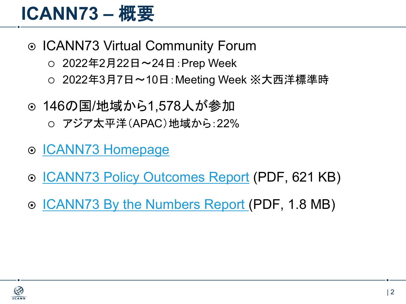#### **ICANN73 –** 概要

- ICANN73 Virtual Community Forum
	- $\circ$  2022年2月22日~24日: Prep Week
	- 2022年3月7日〜10日:Meeting Week ※大西洋標準時
- ◎ 146の国/地域から1,578人が参加
	- アジア太平洋(APAC)地域から:22%
- **⊙ [ICANN73 Homepage](https://71.schedule.icann.org/)**
- o **[ICANN73 Policy Outcomes Report](https://meetings.icann.org/en/remote73/icann73-policy-outcome-report-29mar22-en.pdf) (PDF, 621 KB)**
- [ICANN73 By the Numbers Report](https://meetings.icann.org/en/remote73/icann73-technical-report-17mar22-en.pdf) (PDF, 1.8 MB)

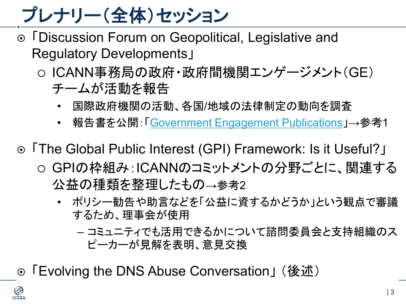プレナリー(全体)セッション

- ⊙ 「Discussion Forum on Geopolitical, Legislative and Regulatory Developments」
	- ICANN事務局の政府・政府間機関エンゲージメント(GE) チームが活動を報告
		- 国際政府機関の活動、各国/地域の法律制定の動向を調査
		- 報告書を公開:「[Government Engagement Publications](https://www.icann.org/en/government-engagement/publications)」→参考1
- 「The Global Public Interest (GPI) Framework: Is it Useful?」
	- GPIの枠組み:ICANNのコミットメントの分野ごとに、関連する 公益の種類を整理したもの→参考2
		- ポリシー勧告や助言などを「公益に資するかどうか」という観点で審議 するため、理事会が使用
			- コミュニティでも活用できるかについて諮問委員会と支持組織のス ピーカーが見解を表明、意見交換
- 「Evolving the DNS Abuse Conversation」 (後述)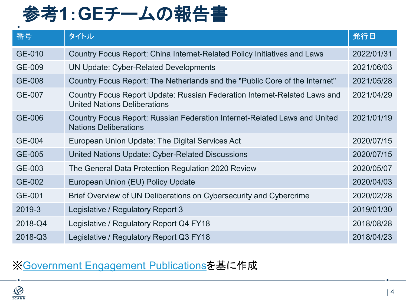## 参考**1**:**GE**チームの報告書

| 番号            | タイトル                                                                                                             | 発行日        |
|---------------|------------------------------------------------------------------------------------------------------------------|------------|
| GE-010        | Country Focus Report: China Internet-Related Policy Initiatives and Laws                                         | 2022/01/31 |
| GE-009        | <b>UN Update: Cyber-Related Developments</b>                                                                     | 2021/06/03 |
| <b>GE-008</b> | Country Focus Report: The Netherlands and the "Public Core of the Internet"                                      | 2021/05/28 |
| <b>GE-007</b> | Country Focus Report Update: Russian Federation Internet-Related Laws and<br><b>United Nations Deliberations</b> | 2021/04/29 |
| <b>GE-006</b> | Country Focus Report: Russian Federation Internet-Related Laws and United<br><b>Nations Deliberations</b>        | 2021/01/19 |
| GE-004        | European Union Update: The Digital Services Act                                                                  | 2020/07/15 |
| <b>GE-005</b> | United Nations Update: Cyber-Related Discussions                                                                 | 2020/07/15 |
| GE-003        | The General Data Protection Regulation 2020 Review                                                               | 2020/05/07 |
| GE-002        | European Union (EU) Policy Update                                                                                | 2020/04/03 |
| GE-001        | Brief Overview of UN Deliberations on Cybersecurity and Cybercrime                                               | 2020/02/28 |
| 2019-3        | Legislative / Regulatory Report 3                                                                                | 2019/01/30 |
| 2018-Q4       | Legislative / Regulatory Report Q4 FY18                                                                          | 2018/08/28 |
| 2018-Q3       | Legislative / Regulatory Report Q3 FY18                                                                          | 2018/04/23 |

#### ※[Government Engagement Publications](https://www.icann.org/en/government-engagement/publications)を基に作成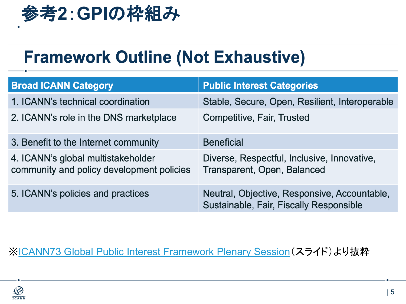

#### **Framework Outline (Not Exhaustive)**

| <b>Broad ICANN Category</b>                                                     | <b>Public Interest Categories</b>                                                       |
|---------------------------------------------------------------------------------|-----------------------------------------------------------------------------------------|
| 1. ICANN's technical coordination                                               | Stable, Secure, Open, Resilient, Interoperable                                          |
| 2. ICANN's role in the DNS marketplace                                          | <b>Competitive, Fair, Trusted</b>                                                       |
| 3. Benefit to the Internet community                                            | <b>Beneficial</b>                                                                       |
| 4. ICANN's global multistakeholder<br>community and policy development policies | Diverse, Respectful, Inclusive, Innovative,<br>Transparent, Open, Balanced              |
| 5. ICANN's policies and practices                                               | Neutral, Objective, Responsive, Accountable,<br>Sustainable, Fair, Fiscally Responsible |

#### ※[ICANN73 Global Public Interest Framework Plenary Session](https://cdn.filestackcontent.com/content=t:attachment,f:%22ICANN73%20Global%20Public%20interest%20Framework%20Plenary%20Session.pdf%22/tFT9Tk17SlqgB8McbYjo)(スライド)より抜粋

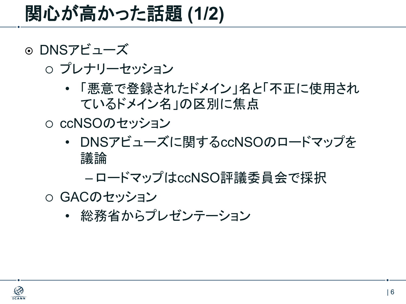#### 関心が高かった話題 **(1/2)**

⊙ DNSアビューズ

プレナリーセッション

- 「悪意で登録されたドメイン」名と「不正に使用され ているドメイン名」の区別に焦点
- ccNSOのセッション
	- DNSアビューズに関するccNSOのロードマップを 議論

– ロードマップはccNSO評議委員会で採択

- GACのセッション
	- 総務省からプレゼンテーション

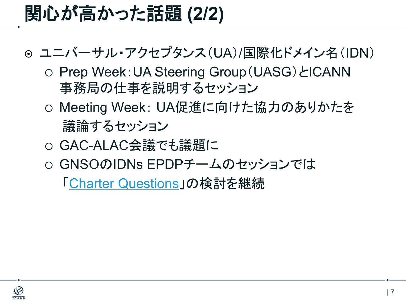## 関心が高かった話題 **(2/2)**

- ユニバーサル・アクセプタンス(UA)/国際化ドメイン名(IDN)
	- Prep Week:UA Steering Group(UASG)とICANN 事務局の仕事を説明するセッション
	- o Meeting Week: UA促進に向けた協力のありかたを 議論するセッション
	- GAC-ALAC会議でも議題に
	- GNSOのIDNs EPDPチームのセッションでは

「[Charter Questions](https://community.icann.org/download/attachments/186778169/EPDP%20Team%20Meeting%20ICANN73%20Slides%20-%20D1b%2C%20B4%2C%20B4a%2C%20B5.pdf?version=2&modificationDate=1646856694000&api=v2)」の検討を継続

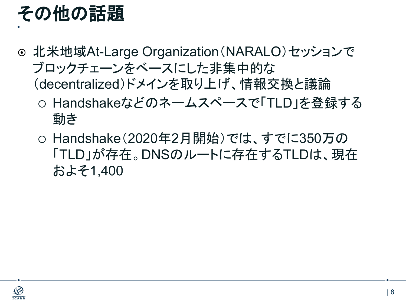## その他の話題

- **◎ 北米地域At-Large Organization (NARALO)セッションで** ブロックチェーンをベースにした非集中的な (decentralized)ドメインを取り上げ、情報交換と議論
	- Handshakeなどのネームスペースで「TLD」を登録する 動き
	- Handshake(2020年2月開始)では、すでに350万の 「TLD」が存在。DNSのルートに存在するTLDは、現在 およそ1,400

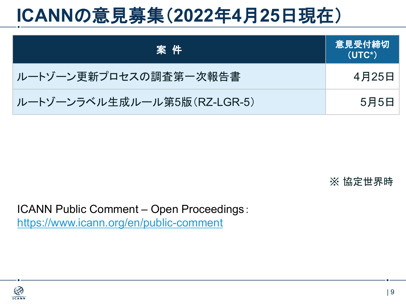## **ICANN**の意見募集(**2022**年**4**月**25**日現在)

| (案件)                        | <b> 意見受付締切</b><br>$(UTC*)$ |
|-----------------------------|----------------------------|
| ルートゾーン更新プロセスの調査第一次報告書       | 4月25日                      |
| ルートゾーンラベル生成ルール第5版(RZ-LGR-5) | 5月5日                       |

※ 協定世界時

ICANN Public Comment – Open Proceedings: <https://www.icann.org/en/public-comment>

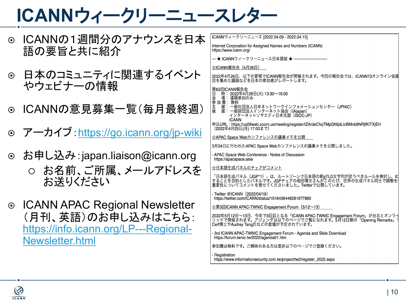## **ICANN**ウィークリーニュースレター

- ⊙ ICANNの1週間分のアナウンスを日ス 語の要旨と共に紹介
- ◎ 日本のコミュニティに関連するイベント やウェビナーの情報
- ⊙ ICANNの意見募集一覧(毎月最終週
- ⊙ アーカイブ: <https://go.icann.org/jp-wiki>
- ◎ お申し込み: japan.liaison@icann.org
	- お名前、ご所属、メールアドレスを お送りください
- **ICANN APAC Regional Newsletter** (月刊、英語)のお申し込みはこちら: [https://info.icann.org/LP---Regional-](https://info.icann.org/LP---Regional-Newsletter.html)Newsletter.html

| 木        | ICANNウィークリーニュース [2022.04.09 - 2022.04.15]                                                                                                                             |  |
|----------|-----------------------------------------------------------------------------------------------------------------------------------------------------------------------|--|
|          | Internet Corporation for Assigned Names and Numbers (ICANN)<br>https://www.icann.org/                                                                                 |  |
|          | --- ★ ICANNウィークリーニュース日本語版 ★ --------------------------                                                                                                                |  |
|          | ☆ICANN報告会(4月26日)                                                                                                                                                      |  |
|          | 2022年4月26日、以下の要領でICANN報告会が開催されます。今回の報告会では、ICANN73オンライン会議<br>目を集めた議論などを日本の参加者がレポートします。                                                                                 |  |
|          | 第63回ICANN報告会<br>Β<br>時: 2022年4月26日(火) 13:30~16:00<br>1会参主後主後<br>参加の事件について、場を書く、一般に関する。<br>加えて、一般には、一般には、この意味を、この意味を、<br>場: 遠隔参加のみ                                     |  |
| $\big)$  | 催: 一般社団法人日本ネットワークインフォメーションセンター(JPNIC)<br>援: 一般財団法人インターネット協会(IAjapan)<br>インターネットソサエティ日本支部 (ISOC-JP)                                                                    |  |
|          | <b>ICANN</b><br>申込URL: https://us06web.zoom.us/meeting/register/tZArdeChqTMpGNIjdLlcBMnb9NRjfKtTXjEH<br>(2022年4月25日(月) 17:00まで)                                       |  |
| <u>i</u> | ☆APAC Space Webカンファレンスの議事メモを公開                                                                                                                                        |  |
|          | 3月24日に行われたAPAC Space Webカンファレンスの議事メモを公開しました。                                                                                                                          |  |
|          | - APAC Space Web Conference - Notes of Discussion<br>https://apacspace.asia                                                                                           |  |
|          | ☆日本語生成パネルのチェアがコメント                                                                                                                                                    |  |
|          | 「日本語生成パネル(JGP*1)」は、ルートゾーンで日本語の新qTLD文字列が従うべきルールを検討し、I <b>C</b><br>することを目的としたパネルです。JGPチェアの堀田博文さんがこのたび、世界の生成パネル同士で調整を<br>重要性についてコメントを寄せてくださいました。Twitterで公開しています。         |  |
|          | - Twitter @ICANN (2022/04/19)<br>https://twitter.com/ICANN/status/1516436446281977860                                                                                 |  |
|          | ☆第3回ICANN APAC-TWNIC Engagement Forum (5/12~13)                                                                                                                       |  |
|          | 2022年5月12日~13日、今年で3回目となる「ICANN APAC-TWNIC Engagement Forum」が台北とオンラ~<br>リッドで開催されます。アジェンダは以下のページでご覧になれます。5月12日朝の「Opening Remarks」<br>Cerf博士やAudrey Tang氏などの登壇が予定されています。 |  |
|          | - 3rd ICANN APAC-TWNIC Engagement Forum - Agenda and Slide Download<br>https://forum.twnic.tw/2022/agenda01.htm                                                       |  |
|          | 参加費は無料です。ご興味のある方は是非以下のページでご登録ください。                                                                                                                                    |  |

Registration https://www.informationsecurity.com.tw/project/tw2/register\_2022.aspx